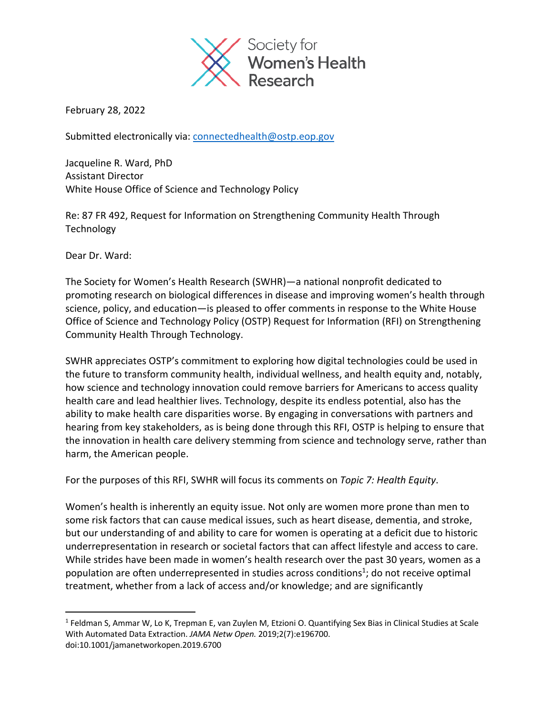

February 28, 2022

Submitted electronically via: connectedhealth@ostp.eop.gov

Jacqueline R. Ward, PhD Assistant Director White House Office of Science and Technology Policy

Re: 87 FR 492, Request for Information on Strengthening Community Health Through **Technology** 

Dear Dr. Ward:

The Society for Women's Health Research (SWHR)—a national nonprofit dedicated to promoting research on biological differences in disease and improving women's health through science, policy, and education—is pleased to offer comments in response to the White House Office of Science and Technology Policy (OSTP) Request for Information (RFI) on Strengthening Community Health Through Technology.

SWHR appreciates OSTP's commitment to exploring how digital technologies could be used in the future to transform community health, individual wellness, and health equity and, notably, how science and technology innovation could remove barriers for Americans to access quality health care and lead healthier lives. Technology, despite its endless potential, also has the ability to make health care disparities worse. By engaging in conversations with partners and hearing from key stakeholders, as is being done through this RFI, OSTP is helping to ensure that the innovation in health care delivery stemming from science and technology serve, rather than harm, the American people.

For the purposes of this RFI, SWHR will focus its comments on *Topic 7: Health Equity*.

Women's health is inherently an equity issue. Not only are women more prone than men to some risk factors that can cause medical issues, such as heart disease, dementia, and stroke, but our understanding of and ability to care for women is operating at a deficit due to historic underrepresentation in research or societal factors that can affect lifestyle and access to care. While strides have been made in women's health research over the past 30 years, women as a population are often underrepresented in studies across conditions<sup>1</sup>; do not receive optimal treatment, whether from a lack of access and/or knowledge; and are significantly

<sup>1</sup> Feldman S, Ammar W, Lo K, Trepman E, van Zuylen M, Etzioni O. Quantifying Sex Bias in Clinical Studies at Scale With Automated Data Extraction. *JAMA Netw Open.* 2019;2(7):e196700. doi:10.1001/jamanetworkopen.2019.6700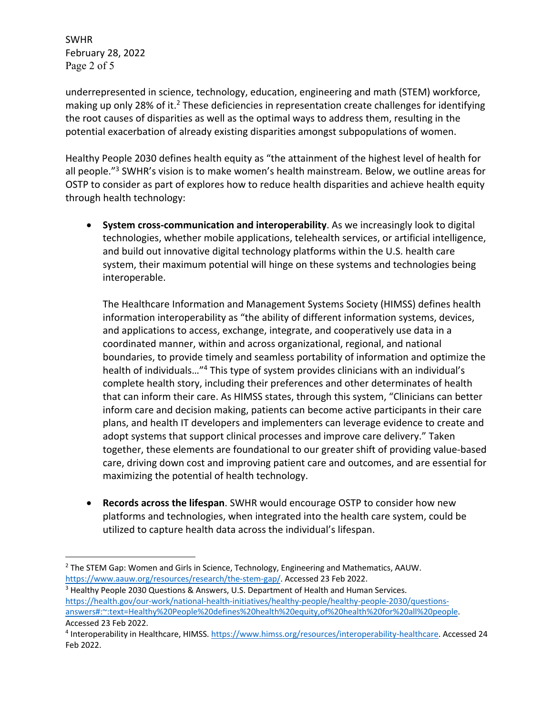SWHR February 28, 2022 Page 2 of 5

underrepresented in science, technology, education, engineering and math (STEM) workforce, making up only 28% of it.<sup>2</sup> These deficiencies in representation create challenges for identifying the root causes of disparities as well as the optimal ways to address them, resulting in the potential exacerbation of already existing disparities amongst subpopulations of women.

Healthy People 2030 defines health equity as "the attainment of the highest level of health for all people."<sup>3</sup> SWHR's vision is to make women's health mainstream. Below, we outline areas for OSTP to consider as part of explores how to reduce health disparities and achieve health equity through health technology:

• **System cross-communication and interoperability**. As we increasingly look to digital technologies, whether mobile applications, telehealth services, or artificial intelligence, and build out innovative digital technology platforms within the U.S. health care system, their maximum potential will hinge on these systems and technologies being interoperable.

The Healthcare Information and Management Systems Society (HIMSS) defines health information interoperability as "the ability of different information systems, devices, and applications to access, exchange, integrate, and cooperatively use data in a coordinated manner, within and across organizational, regional, and national boundaries, to provide timely and seamless portability of information and optimize the health of individuals…"4 This type of system provides clinicians with an individual's complete health story, including their preferences and other determinates of health that can inform their care. As HIMSS states, through this system, "Clinicians can better inform care and decision making, patients can become active participants in their care plans, and health IT developers and implementers can leverage evidence to create and adopt systems that support clinical processes and improve care delivery." Taken together, these elements are foundational to our greater shift of providing value-based care, driving down cost and improving patient care and outcomes, and are essential for maximizing the potential of health technology.

• **Records across the lifespan**. SWHR would encourage OSTP to consider how new platforms and technologies, when integrated into the health care system, could be utilized to capture health data across the individual's lifespan.

https://health.gov/our-work/national-health-initiatives/healthy-people/healthy-people-2030/questionsanswers#:~:text=Healthy%20People%20defines%20health%20equity,of%20health%20for%20all%20people. Accessed 23 Feb 2022.

<sup>&</sup>lt;sup>2</sup> The STEM Gap: Women and Girls in Science, Technology, Engineering and Mathematics, AAUW. https://www.aauw.org/resources/research/the-stem-gap/. Accessed 23 Feb 2022.<br><sup>3</sup> Healthy People 2030 Questions & Answers, U.S. Department of Health and Human Services.

<sup>4</sup> Interoperability in Healthcare, HIMSS. https://www.himss.org/resources/interoperability-healthcare. Accessed 24 Feb 2022.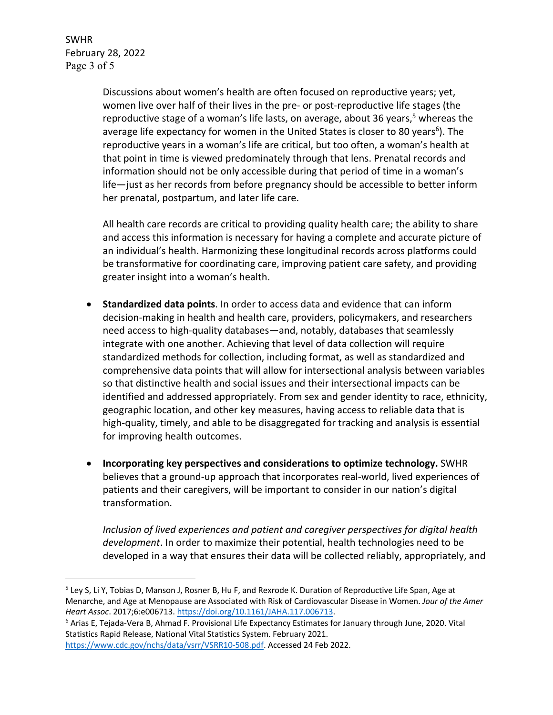SWHR February 28, 2022 Page 3 of 5

> Discussions about women's health are often focused on reproductive years; yet, women live over half of their lives in the pre- or post-reproductive life stages (the reproductive stage of a woman's life lasts, on average, about 36 years,<sup>5</sup> whereas the average life expectancy for women in the United States is closer to 80 years<sup>6</sup>). The reproductive years in a woman's life are critical, but too often, a woman's health at that point in time is viewed predominately through that lens. Prenatal records and information should not be only accessible during that period of time in a woman's life—just as her records from before pregnancy should be accessible to better inform her prenatal, postpartum, and later life care.

All health care records are critical to providing quality health care; the ability to share and access this information is necessary for having a complete and accurate picture of an individual's health. Harmonizing these longitudinal records across platforms could be transformative for coordinating care, improving patient care safety, and providing greater insight into a woman's health.

- **Standardized data points**. In order to access data and evidence that can inform decision-making in health and health care, providers, policymakers, and researchers need access to high-quality databases—and, notably, databases that seamlessly integrate with one another. Achieving that level of data collection will require standardized methods for collection, including format, as well as standardized and comprehensive data points that will allow for intersectional analysis between variables so that distinctive health and social issues and their intersectional impacts can be identified and addressed appropriately. From sex and gender identity to race, ethnicity, geographic location, and other key measures, having access to reliable data that is high-quality, timely, and able to be disaggregated for tracking and analysis is essential for improving health outcomes.
- **Incorporating key perspectives and considerations to optimize technology.** SWHR believes that a ground-up approach that incorporates real-world, lived experiences of patients and their caregivers, will be important to consider in our nation's digital transformation.

*Inclusion of lived experiences and patient and caregiver perspectives for digital health development*. In order to maximize their potential, health technologies need to be developed in a way that ensures their data will be collected reliably, appropriately, and

```
Statistics Rapid Release, National Vital Statistics System. February 2021. 
https://www.cdc.gov/nchs/data/vsrr/VSRR10-508.pdf. Accessed 24 Feb 2022.
```
<sup>&</sup>lt;sup>5</sup> Ley S, Li Y, Tobias D, Manson J, Rosner B, Hu F, and Rexrode K. Duration of Reproductive Life Span, Age at Menarche, and Age at Menopause are Associated with Risk of Cardiovascular Disease in Women. *Jour of the Amer Heart Assoc.* 2017;6:e006713. https://doi.org/10.1161/JAHA.117.006713.<br><sup>6</sup> Arias E, Tejada-Vera B, Ahmad F. Provisional Life Expectancy Estimates for January through June, 2020. Vital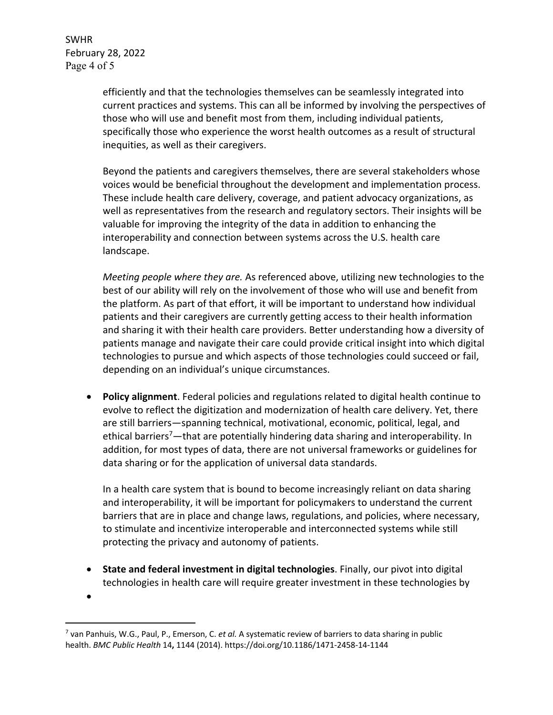SWHR February 28, 2022 Page 4 of 5

> efficiently and that the technologies themselves can be seamlessly integrated into current practices and systems. This can all be informed by involving the perspectives of those who will use and benefit most from them, including individual patients, specifically those who experience the worst health outcomes as a result of structural inequities, as well as their caregivers.

Beyond the patients and caregivers themselves, there are several stakeholders whose voices would be beneficial throughout the development and implementation process. These include health care delivery, coverage, and patient advocacy organizations, as well as representatives from the research and regulatory sectors. Their insights will be valuable for improving the integrity of the data in addition to enhancing the interoperability and connection between systems across the U.S. health care landscape.

*Meeting people where they are.* As referenced above, utilizing new technologies to the best of our ability will rely on the involvement of those who will use and benefit from the platform. As part of that effort, it will be important to understand how individual patients and their caregivers are currently getting access to their health information and sharing it with their health care providers. Better understanding how a diversity of patients manage and navigate their care could provide critical insight into which digital technologies to pursue and which aspects of those technologies could succeed or fail, depending on an individual's unique circumstances.

• **Policy alignment**. Federal policies and regulations related to digital health continue to evolve to reflect the digitization and modernization of health care delivery. Yet, there are still barriers—spanning technical, motivational, economic, political, legal, and ethical barriers<sup>7</sup>—that are potentially hindering data sharing and interoperability. In addition, for most types of data, there are not universal frameworks or guidelines for data sharing or for the application of universal data standards.

In a health care system that is bound to become increasingly reliant on data sharing and interoperability, it will be important for policymakers to understand the current barriers that are in place and change laws, regulations, and policies, where necessary, to stimulate and incentivize interoperable and interconnected systems while still protecting the privacy and autonomy of patients.

• **State and federal investment in digital technologies**. Finally, our pivot into digital technologies in health care will require greater investment in these technologies by

<sup>•</sup>

<sup>7</sup> van Panhuis, W.G., Paul, P., Emerson, C. *et al.* A systematic review of barriers to data sharing in public health. *BMC Public Health* 14**,** 1144 (2014). https://doi.org/10.1186/1471-2458-14-1144